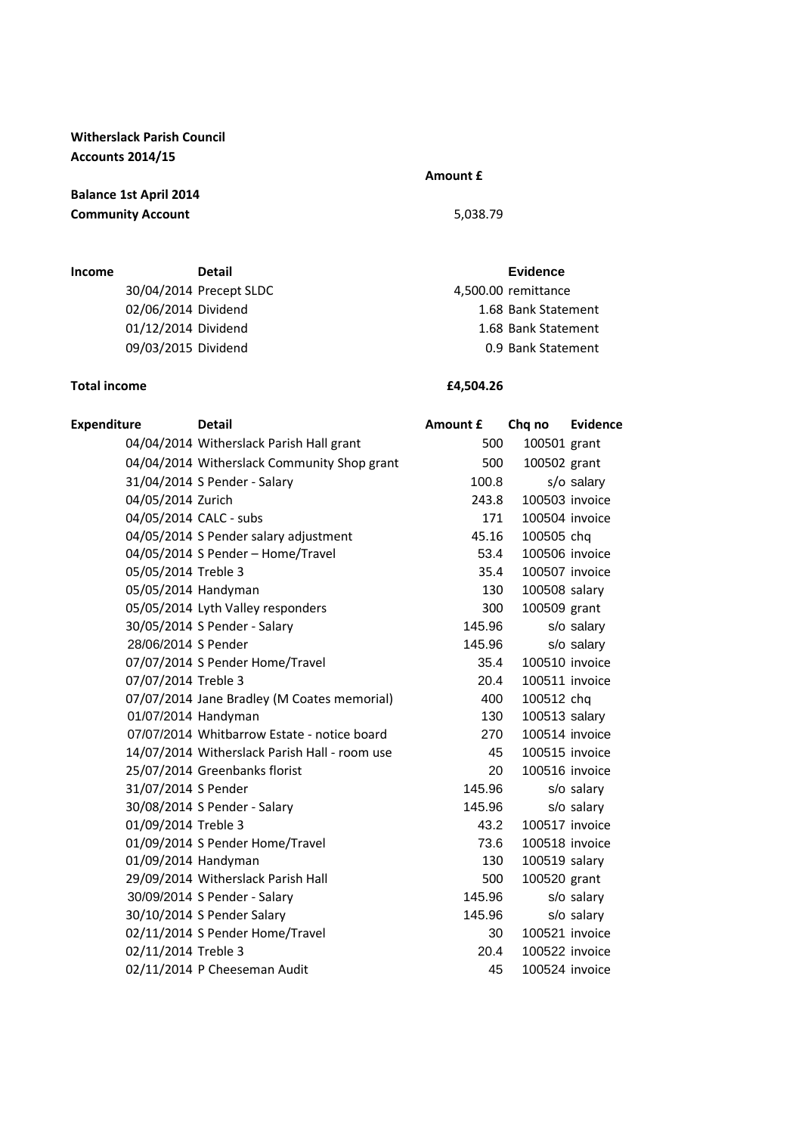**Witherslack Parish Council Accounts 2014/15**

**Balance 1st April 2014 Community Account** 5,038.79

**Income Detail Evidence** 30/04/2014 Precept SLDC 4,500.00 remittance 02/06/2014 Dividend 1.68 Bank Statement 01/12/2014 Dividend 1.68 Bank Statement 09/03/2015 Dividend 0.9 Bank Statement

## **Total income £4,504.26**

## **Amount £**

| <b>Expenditure</b>     | <b>Detail</b>                                 | Amount £ | Chq no         | <b>Evidence</b> |
|------------------------|-----------------------------------------------|----------|----------------|-----------------|
|                        | 04/04/2014 Witherslack Parish Hall grant      | 500      | 100501 grant   |                 |
|                        | 04/04/2014 Witherslack Community Shop grant   | 500      | 100502 grant   |                 |
|                        | 31/04/2014 S Pender - Salary                  | 100.8    |                | s/o salary      |
| 04/05/2014 Zurich      |                                               | 243.8    | 100503 invoice |                 |
| 04/05/2014 CALC - subs |                                               | 171      | 100504 invoice |                 |
|                        | 04/05/2014 S Pender salary adjustment         | 45.16    | 100505 chq     |                 |
|                        | 04/05/2014 S Pender - Home/Travel             | 53.4     | 100506 invoice |                 |
| 05/05/2014 Treble 3    |                                               | 35.4     | 100507 invoice |                 |
| 05/05/2014 Handyman    |                                               | 130      | 100508 salary  |                 |
|                        | 05/05/2014 Lyth Valley responders             | 300      | 100509 grant   |                 |
|                        | 30/05/2014 S Pender - Salary                  | 145.96   |                | s/o salary      |
| 28/06/2014 S Pender    |                                               | 145.96   |                | s/o salary      |
|                        | 07/07/2014 S Pender Home/Travel               | 35.4     | 100510 invoice |                 |
| 07/07/2014 Treble 3    |                                               | 20.4     | 100511 invoice |                 |
|                        | 07/07/2014 Jane Bradley (M Coates memorial)   | 400      | 100512 chq     |                 |
| 01/07/2014 Handyman    |                                               | 130      | 100513 salary  |                 |
|                        | 07/07/2014 Whitbarrow Estate - notice board   | 270      | 100514 invoice |                 |
|                        | 14/07/2014 Witherslack Parish Hall - room use | 45       | 100515 invoice |                 |
|                        | 25/07/2014 Greenbanks florist                 | 20       | 100516 invoice |                 |
| 31/07/2014 S Pender    |                                               | 145.96   |                | s/o salary      |
|                        | 30/08/2014 S Pender - Salary                  | 145.96   |                | s/o salary      |
| 01/09/2014 Treble 3    |                                               | 43.2     | 100517 invoice |                 |
|                        | 01/09/2014 S Pender Home/Travel               | 73.6     | 100518 invoice |                 |
| 01/09/2014 Handyman    |                                               | 130      | 100519 salary  |                 |
|                        | 29/09/2014 Witherslack Parish Hall            | 500      | 100520 grant   |                 |
|                        | 30/09/2014 S Pender - Salary                  | 145.96   |                | s/o salary      |
|                        | 30/10/2014 S Pender Salary                    | 145.96   |                | s/o salary      |
|                        | 02/11/2014 S Pender Home/Travel               | 30       | 100521 invoice |                 |
| 02/11/2014 Treble 3    |                                               | 20.4     | 100522 invoice |                 |
|                        | 02/11/2014 P Cheeseman Audit                  | 45       | 100524 invoice |                 |